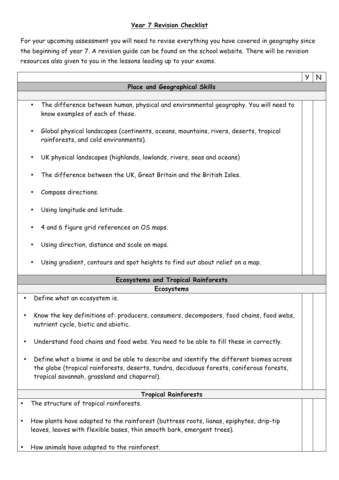## **Year 7 Revision Checklist**

For your upcoming assessment you will need to revise everything you have covered in geography since the beginning of year 7. A revision guide can be found on the school website. There will be revision resources also given to you in the lessons leading up to your exams.

|                                                                                                                                                                                                                                     | y | N |  |  |
|-------------------------------------------------------------------------------------------------------------------------------------------------------------------------------------------------------------------------------------|---|---|--|--|
| Place and Geographical Skills                                                                                                                                                                                                       |   |   |  |  |
|                                                                                                                                                                                                                                     |   |   |  |  |
| The difference between human, physical and environmental geography. You will need to<br>know examples of each of these.                                                                                                             |   |   |  |  |
| Global physical landscapes (continents, oceans, mountains, rivers, deserts, tropical<br>$\bullet$<br>rainforests, and cold environments).                                                                                           |   |   |  |  |
| UK physical landscapes (highlands, lowlands, rivers, seas and oceans)<br>$\bullet$                                                                                                                                                  |   |   |  |  |
| The difference between the UK, Great Britain and the British Isles.                                                                                                                                                                 |   |   |  |  |
| Compass directions.                                                                                                                                                                                                                 |   |   |  |  |
| Using longitude and latitude.                                                                                                                                                                                                       |   |   |  |  |
| 4 and 6 figure grid references on OS maps.                                                                                                                                                                                          |   |   |  |  |
| Using direction, distance and scale on maps.                                                                                                                                                                                        |   |   |  |  |
| Using gradient, contours and spot heights to find out about relief on a map.                                                                                                                                                        |   |   |  |  |
| <b>Ecosystems and Tropical Rainforests</b>                                                                                                                                                                                          |   |   |  |  |
| Ecosystems                                                                                                                                                                                                                          |   |   |  |  |
| Define what an ecosystem is.                                                                                                                                                                                                        |   |   |  |  |
| Know the key definitions of: producers, consumers, decomposers, food chains, food webs,<br>nutrient cycle, biotic and abiotic.                                                                                                      |   |   |  |  |
| Understand food chains and food webs. You need to be able to fill these in correctly.                                                                                                                                               |   |   |  |  |
| Define what a biome is and be able to describe and identify the different biomes across<br>the globe (tropical rainforests, deserts, tundra, deciduous forests, coniferous forests,<br>tropical savannah, grassland and chaparral). |   |   |  |  |
| <b>Tropical Rainforests</b>                                                                                                                                                                                                         |   |   |  |  |
| The structure of tropical rainforests.                                                                                                                                                                                              |   |   |  |  |
| How plants have adapted to the rainforest (buttress roots, lianas, epiphytes, drip-tip<br>leaves, leaves with flexible bases, thin smooth bark, emergent trees).                                                                    |   |   |  |  |
| How animals have adapted to the rainforest.                                                                                                                                                                                         |   |   |  |  |